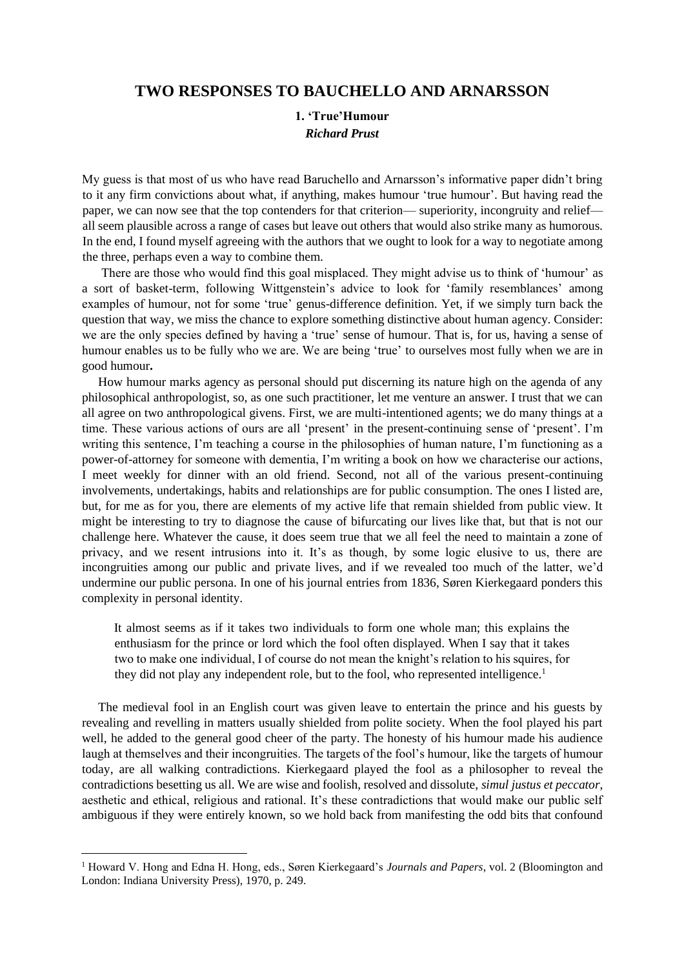## **TWO RESPONSES TO BAUCHELLO AND ARNARSSON**

## **1. 'True'Humour** *Richard Prust*

My guess is that most of us who have read Baruchello and Arnarsson's informative paper didn't bring to it any firm convictions about what, if anything, makes humour 'true humour'. But having read the paper, we can now see that the top contenders for that criterion— superiority, incongruity and relief all seem plausible across a range of cases but leave out others that would also strike many as humorous. In the end, I found myself agreeing with the authors that we ought to look for a way to negotiate among the three, perhaps even a way to combine them.

There are those who would find this goal misplaced. They might advise us to think of 'humour' as a sort of basket-term, following Wittgenstein's advice to look for 'family resemblances' among examples of humour, not for some 'true' genus-difference definition. Yet, if we simply turn back the question that way, we miss the chance to explore something distinctive about human agency. Consider: we are the only species defined by having a 'true' sense of humour. That is, for us, having a sense of humour enables us to be fully who we are. We are being 'true' to ourselves most fully when we are in good humour**.**

How humour marks agency as personal should put discerning its nature high on the agenda of any philosophical anthropologist, so, as one such practitioner, let me venture an answer. I trust that we can all agree on two anthropological givens. First, we are multi-intentioned agents; we do many things at a time. These various actions of ours are all 'present' in the present-continuing sense of 'present'. I'm writing this sentence, I'm teaching a course in the philosophies of human nature, I'm functioning as a power-of-attorney for someone with dementia, I'm writing a book on how we characterise our actions, I meet weekly for dinner with an old friend. Second, not all of the various present-continuing involvements, undertakings, habits and relationships are for public consumption. The ones I listed are, but, for me as for you, there are elements of my active life that remain shielded from public view. It might be interesting to try to diagnose the cause of bifurcating our lives like that, but that is not our challenge here. Whatever the cause, it does seem true that we all feel the need to maintain a zone of privacy, and we resent intrusions into it. It's as though, by some logic elusive to us, there are incongruities among our public and private lives, and if we revealed too much of the latter, we'd undermine our public persona. In one of his journal entries from 1836, Søren Kierkegaard ponders this complexity in personal identity.

It almost seems as if it takes two individuals to form one whole man; this explains the enthusiasm for the prince or lord which the fool often displayed. When I say that it takes two to make one individual, I of course do not mean the knight's relation to his squires, for they did not play any independent role, but to the fool, who represented intelligence.<sup>1</sup>

The medieval fool in an English court was given leave to entertain the prince and his guests by revealing and revelling in matters usually shielded from polite society. When the fool played his part well, he added to the general good cheer of the party. The honesty of his humour made his audience laugh at themselves and their incongruities. The targets of the fool's humour, like the targets of humour today, are all walking contradictions. Kierkegaard played the fool as a philosopher to reveal the contradictions besetting us all. We are wise and foolish, resolved and dissolute, *simul justus et peccator*, aesthetic and ethical, religious and rational. It's these contradictions that would make our public self ambiguous if they were entirely known, so we hold back from manifesting the odd bits that confound

<sup>1</sup> Howard V. Hong and Edna H. Hong, eds., Søren Kierkegaard's *Journals and Papers*, vol. 2 (Bloomington and London: Indiana University Press), 1970, p. 249.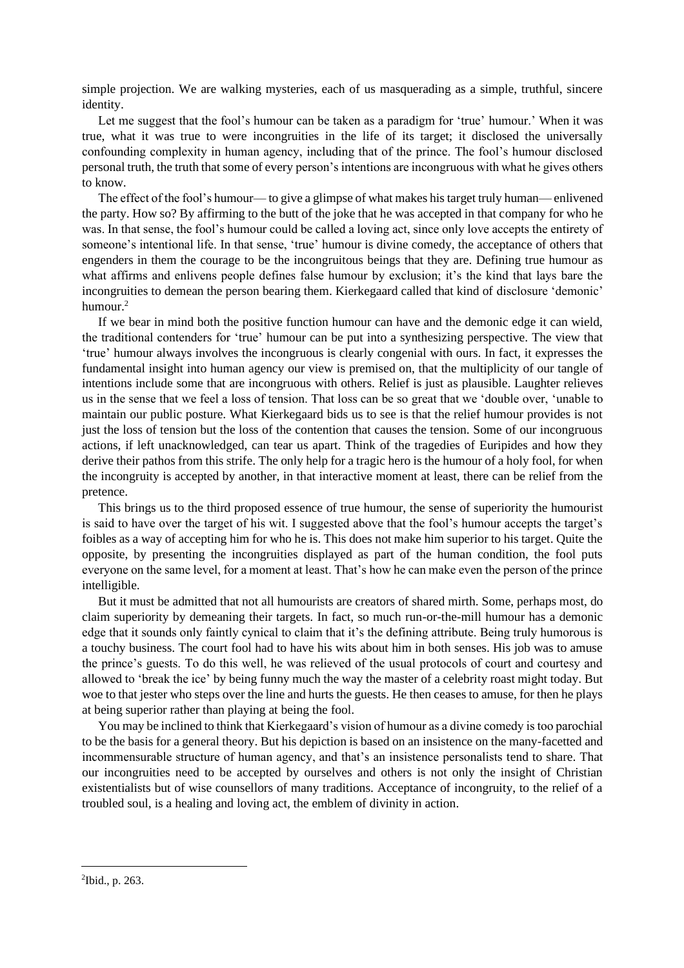simple projection. We are walking mysteries, each of us masquerading as a simple, truthful, sincere identity.

Let me suggest that the fool's humour can be taken as a paradigm for 'true' humour.' When it was true, what it was true to were incongruities in the life of its target; it disclosed the universally confounding complexity in human agency, including that of the prince. The fool's humour disclosed personal truth, the truth that some of every person's intentions are incongruous with what he gives others to know.

The effect of the fool's humour— to give a glimpse of what makes his target truly human— enlivened the party. How so? By affirming to the butt of the joke that he was accepted in that company for who he was. In that sense, the fool's humour could be called a loving act, since only love accepts the entirety of someone's intentional life. In that sense, 'true' humour is divine comedy, the acceptance of others that engenders in them the courage to be the incongruitous beings that they are. Defining true humour as what affirms and enlivens people defines false humour by exclusion; it's the kind that lays bare the incongruities to demean the person bearing them. Kierkegaard called that kind of disclosure 'demonic' humour.<sup>2</sup>

If we bear in mind both the positive function humour can have and the demonic edge it can wield, the traditional contenders for 'true' humour can be put into a synthesizing perspective. The view that 'true' humour always involves the incongruous is clearly congenial with ours. In fact, it expresses the fundamental insight into human agency our view is premised on, that the multiplicity of our tangle of intentions include some that are incongruous with others. Relief is just as plausible. Laughter relieves us in the sense that we feel a loss of tension. That loss can be so great that we 'double over, 'unable to maintain our public posture. What Kierkegaard bids us to see is that the relief humour provides is not just the loss of tension but the loss of the contention that causes the tension. Some of our incongruous actions, if left unacknowledged, can tear us apart. Think of the tragedies of Euripides and how they derive their pathos from this strife. The only help for a tragic hero is the humour of a holy fool, for when the incongruity is accepted by another, in that interactive moment at least, there can be relief from the pretence.

This brings us to the third proposed essence of true humour, the sense of superiority the humourist is said to have over the target of his wit. I suggested above that the fool's humour accepts the target's foibles as a way of accepting him for who he is. This does not make him superior to his target. Quite the opposite, by presenting the incongruities displayed as part of the human condition, the fool puts everyone on the same level, for a moment at least. That's how he can make even the person of the prince intelligible.

But it must be admitted that not all humourists are creators of shared mirth. Some, perhaps most, do claim superiority by demeaning their targets. In fact, so much run-or-the-mill humour has a demonic edge that it sounds only faintly cynical to claim that it's the defining attribute. Being truly humorous is a touchy business. The court fool had to have his wits about him in both senses. His job was to amuse the prince's guests. To do this well, he was relieved of the usual protocols of court and courtesy and allowed to 'break the ice' by being funny much the way the master of a celebrity roast might today. But woe to that jester who steps over the line and hurts the guests. He then ceases to amuse, for then he plays at being superior rather than playing at being the fool.

You may be inclined to think that Kierkegaard's vision of humour as a divine comedy is too parochial to be the basis for a general theory. But his depiction is based on an insistence on the many-facetted and incommensurable structure of human agency, and that's an insistence personalists tend to share. That our incongruities need to be accepted by ourselves and others is not only the insight of Christian existentialists but of wise counsellors of many traditions. Acceptance of incongruity, to the relief of a troubled soul, is a healing and loving act, the emblem of divinity in action.

<sup>2</sup> Ibid., p. 263.